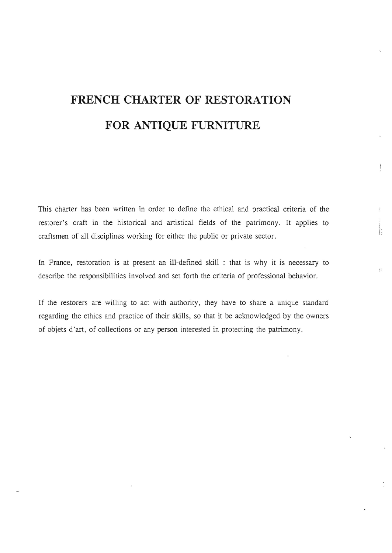# **FRENCH CHARTER OF RESTORATION**  FOR ANTIQUE FURNITURE

This charter has been written in order to define the ethical and practical criteria of the restorer's craft in the historical and artistical fields of the patrimony. It applies to craftsmen of all disciplines working for either the public or private sector.

In France, restoration is at present an ill-defined skill : that is why it is necessary to describe the responsibilities involved and set forth the criteria of professional behavior.

īì

If the restorers are willing to act with authority, they have to share a unique standard regarding the ethics and practice of their skills, so that it be acknowledged by the owners of objets d'art, of collections or any person interested in protecting the patrimony.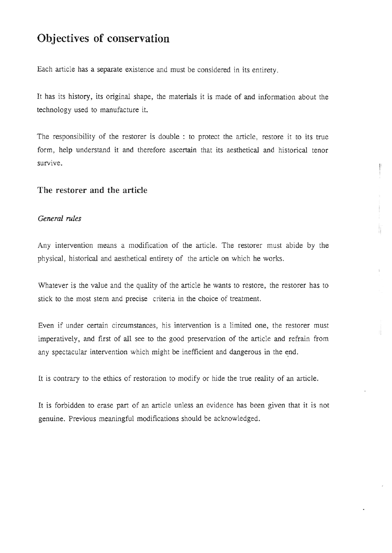# **Objectives of conservation**

Each article has a separate existence and must be considered in its entirety.

It has its history, its original shape, the materials it is made of and information about the technology used to manufacture it.

The responsibility of the restorer is double : to protect the article, restore it to its true form, help understand it and therefore ascertain that its aesthetical and historical tenor  $s$ urvive.

I

!' II

# **The restorer and the article**

## *General rules*

Any intervention means a modification of the article. The restorer must abide by the physical, historical and aesthetical entirety of the article on which he works.

Whatever is the value and the quality of the article he wants to restore, the restorer has to stick to the most stern and precise criteria in the choice of treatment.

Even if under certain circumstances, his intervention is a limited one, the restorer must imperatively, and first of all see to the good preservation of the article and refrain from any spectacular intervention which might be inefficient and dangerous in the end.

It is contrary to the ethics of restoration to modify or hide the true reality of an article.

It is forbidden to erase part of an article unless an evidence has been given that it is not genuine. Previous meaningful modifications should be acknowledged.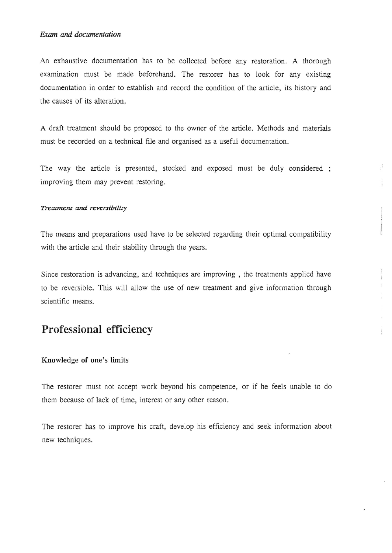### **Exam and documentation**

An exhaustive documentation has to be collected before any restoration. A thorough examination must be made beforehand. The restorer has to look for any existing documentation in order to establish and record the condition of the article, its history and the causes of its alteration.

A draft treatment should be proposed to the owner of the article. Methods and materials must be recorded on a technical file and organised as a useful documentation.

The way the article is presented, stocked and exposed must be duly considered; improving them may prevent restoring.

#### **Trearmem** *and* **reYe'r.Jibiliry**

The means and preparations used have to be selected regarding their optimal compatibility with the article and their stability through the years.

Since restoration is advancing, and techniques are improving, the treatments applied have to be reversible. This will allow the use of new treatment and give information through scientific means.

# **Professional efficiency**

### **Knowledge of one's limits**

The restorer must not accept work beyond his competence, or if he feels unable to do them because of lack of time, interest or any other reason.

The restorer has to improve his craft, develop his efficiency and seek information about new techniques.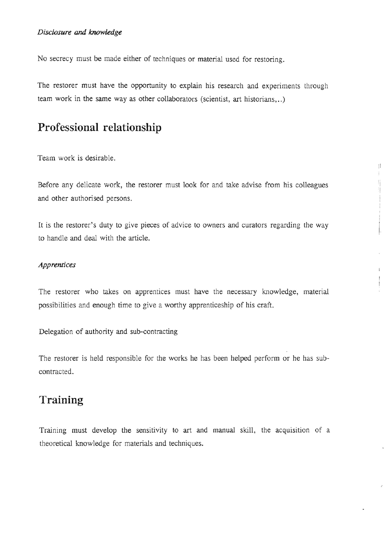### *Disclosure* **and** *knowledge*

No secrecy must be made either of techniques or material used for restoring.

The restorer must have the opportunity to explain his research and experiments through team work in the same way as other collaborators (scientist, art historians, ..)

# **Professional relationship**

Team work is desirable.

Before any delicate work, the restorer must look for and take advise from his colleagues and other authorised persons.

 $\mathcal{I}$  $\vdots$ 

It is the restorer's duty to give pieces of advice to owners and curators regarding the way to handle and deal with the article.

## *Apprentices*

The restorer who takes on apprentices must have the necessary knowledge, material possibilities and enough time to give a worthy apprenticeship of his craft.

Delegation of authority and sub-contracting

The restorer is held responsible for the works he has been helped perform or he has subcontracted.

# **Training**

Training must develop the sensitivity to art and manual skill, the acquisition of a theoretical knowledge for materials and techniques.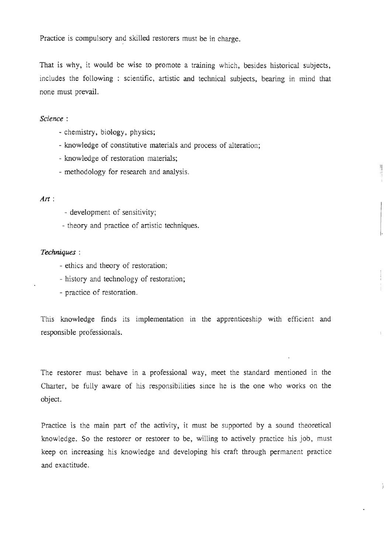Practice is compulsory and skilled restorers must be in charge.

That is why, it would be wise to promote a training which, besides historical subjects, includes the following : scientific, artistic and technical subjects, bearing in mind that none must prevail.

II I

÷.

#### Science :

- chemistry, biology, physics;
- knowledge of constitutive materials and process of alteration;
- knowledge of restoration materials;
- methodology for research and analysis.

### *Art:*

- development of sensitivity;
- theory and practice of artistic techniques.

#### Techniques :

- ethics and theory of restoration;
- history and technology of restoration;
- practice of restoration.

This knowledge finds its implementation in the apprenticeship with efficient and responsibIe professionals.

The restorer must behave in a professional way, meet the standard mentioned in the Charter, be fully aware of his responsibilities since he is the one who works on the object.

Practice is the mam part of the activity, it must be supported by a sound theoretical knowledge. So the restorer or restorer to be, willing to actively practice his job, must keep on increasing his knowledge and developing his craft through permanent practice and exactitude.